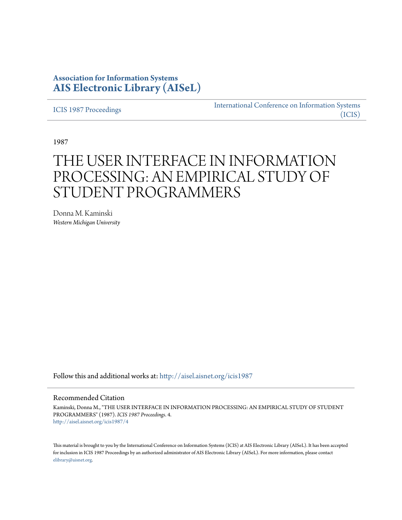# **Association for Information Systems [AIS Electronic Library \(AISeL\)](http://aisel.aisnet.org?utm_source=aisel.aisnet.org%2Ficis1987%2F4&utm_medium=PDF&utm_campaign=PDFCoverPages)**

[ICIS 1987 Proceedings](http://aisel.aisnet.org/icis1987?utm_source=aisel.aisnet.org%2Ficis1987%2F4&utm_medium=PDF&utm_campaign=PDFCoverPages)

[International Conference on Information Systems](http://aisel.aisnet.org/icis?utm_source=aisel.aisnet.org%2Ficis1987%2F4&utm_medium=PDF&utm_campaign=PDFCoverPages) [\(ICIS\)](http://aisel.aisnet.org/icis?utm_source=aisel.aisnet.org%2Ficis1987%2F4&utm_medium=PDF&utm_campaign=PDFCoverPages)

1987

# THE USER INTERFACE IN INFORMATION PROCESSING: AN EMPIRICAL STUDY OF STUDENT PROGRAMMERS

Donna M. Kaminski *Western Michigan University*

Follow this and additional works at: [http://aisel.aisnet.org/icis1987](http://aisel.aisnet.org/icis1987?utm_source=aisel.aisnet.org%2Ficis1987%2F4&utm_medium=PDF&utm_campaign=PDFCoverPages)

### Recommended Citation

Kaminski, Donna M., "THE USER INTERFACE IN INFORMATION PROCESSING: AN EMPIRICAL STUDY OF STUDENT PROGRAMMERS" (1987). *ICIS 1987 Proceedings*. 4. [http://aisel.aisnet.org/icis1987/4](http://aisel.aisnet.org/icis1987/4?utm_source=aisel.aisnet.org%2Ficis1987%2F4&utm_medium=PDF&utm_campaign=PDFCoverPages)

This material is brought to you by the International Conference on Information Systems (ICIS) at AIS Electronic Library (AISeL). It has been accepted for inclusion in ICIS 1987 Proceedings by an authorized administrator of AIS Electronic Library (AISeL). For more information, please contact [elibrary@aisnet.org.](mailto:elibrary@aisnet.org%3E)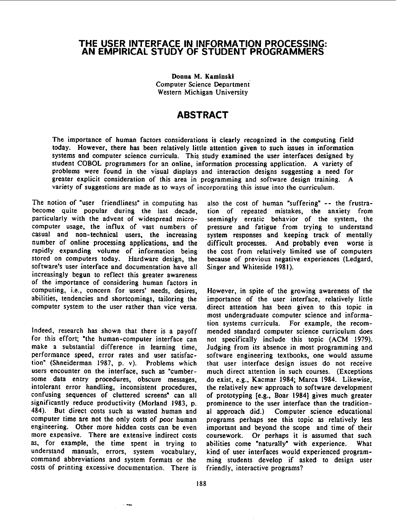### THE USER INTERFACE IN INFORMATION PROCESSING: AN EMPIRICAL STUDY OF STUDENT PROGRAMMERS

Donna M. Kaminski Computer Science Department Western Michigan University

## ABSTRACT

The importance of human factors considerations is clearly recognized in the computing field today. However, there has been relatively little attention given to such issues in information systems and computer science curricula. This study examined the user interfaces designed by student COBOL programmers for an online, information processing application. A variety of problems were found in the visual displays and interaction designs suggesting a need for greater explicit consideration of this area in programming and software design training. A variety of suggestions are made as to ways of incorporating this issue into the curriculum.

The notion of "user friendliness" in computing has also the cost of human "suffering" -- the frustra-<br>become quite popular during the last decade, tion of repeated mistakes, the anxiety from particularly with the advent of widespread micro- seemingly erratic behavior of the system, the computer usage, the inftux of vast numbers of pressure and fatigue from trying to understand casual and non-technical users, the increasing system responses and keeping track of mentally number of online processing applications, and the difficult processes. And probably even worse is rapidly expanding volume of information being the cost from relatively limited use of computers stored on computers today. Hardware design, the because of previous negative experiences (Ledgard, software's user interface and documentation have all increasingly begun to reflect this greater awareness of the importance of considering human factors in computing, i.e., concern for users' needs, desires, However, in spite of the growing awareness of the abilities, tendencies and shortcomings, tailoring the importance of the user interface, relatively little computer system to the user rather than vice versa. direct attention has been given to this topic in

for this effort; "the human-computer interface can not specifically include this topic (ACM 1979). performance speed, error rates and user satisfac- software engineering textbooks, one would assume tion" (Shneiderman 1987, p. v). Problems which that user interface design issues do not receive users encounter on the interface, such as "cumber- much direct attention in such courses. (Exceptions some data entry procedures, obscure messages, do exist, e.g., Kacmar 1984; Marca 1984. Likewise, intolerant error handling, inconsistent procedures, the relatively new approach to software development confusing sequences of cluttered screens" can all of prototyping [e.g., Boar 1984] gives much greater significantly reduce productivity (Morland 1983, p. prominence to the user interface than the tradition-484). But direct costs such as wasted human and al approach did.) Computer science educational computer time are not the only costs of poor human programs perhaps see this topic as relatively less engineering. Other more hidden costs can be even important and beyond the scope and time of their more expensive. There are extensive indirect costs coursework. Or perhaps it is assumed that such as, for example, the time spent in trying to abilities come "naturally" with experience. What understand manuals, errors, system vocabulary, kind of user interfaces would experienced programcommand abbreviations and system formats or the ming students develop if asked to design user costs of printing excessive documentation. There is friendly, interactive programs? costs of printing excessive documentation. There is

tion of repeated mistakes, the anxiety from because of previous negative experiences (Ledgard, Singer and Whiteside 1981).

most undergraduate computer science and information systems curricula. For example, the recom-Indeed, research has shown that there is a payoff mended standard computer science curriculum does<br>for this effort; "the human-computer interface can not specifically include this topic (ACM 1979). Judging from its absence in most programming and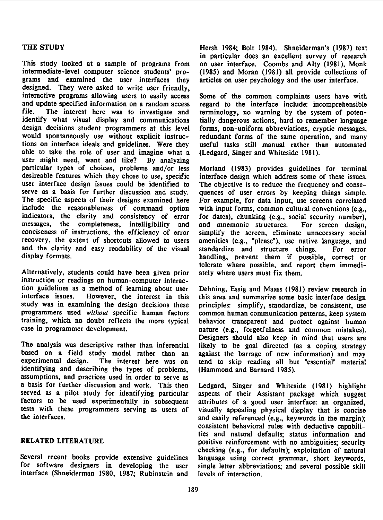This study looked at <sup>a</sup> sample of programs from on user interface. Coombs and Alty (1981), Monk intermediate-level computer science students' pro- (1985) and Moran (1981) all provide collections of designed. They were asked to write user friendly, interactive programs allowing users to easily access Some of the common complaints users have with and update specified information on a random access regard to the interface include: incomprehensible file. The interest here was to investigate and terminology, no warning by the system of potenidentify what visual display and communications tially dangerous actions, hard to remember language design decisions student programmers at this level forms, non-uniform abbreviations, cryptic messages, would spontaneously use without explicit instruc-<br>tions on interface ideals and guidelines. Were they useful tasks still manual rather than automated able to take the role of user and imagine what a (Ledgard, Singer and Whiteside 1981). user might need, want and like? By analyzing particular types of choices, problems and/or less Moriand (1983) provides guidelines for terminal desireable features which they chose to use, specific interface design which address some of these issues. user interface design issues could be identified to The objective is to reduce the frequency and conseserve as <sup>a</sup> basis for further discussion and study. quences of user errors by keeping things simple. The specific aspects of their designs examined here For example, for data input, use screens correlated include the reasonableness of command option with input forms, common cultural conventions (e.g., indicators, the clarity and consistency of error for dates), chunking (e.g., social security number), messages, the completeness, intelligibility and and mnemonic structures. For screen design, conciseness of instructions, the efficiency of error simplify the screen, eliminate unnecessary social conciseness of instructions, the efficiency of error simplify the screen, eliminate unnecessary social and the clarity and easy readability of the visual standardize and structure things. For error

Alternatively, students could have been given prior ately where users must fix them. instruction or readings on human-computer interaction guidelines as <sup>a</sup> method of learning about user Dehning, Essig and Maass (1981) review research in interface issues. However, the interest in this this area and summarize some basic interface design<br>study was in examining the design decisions these principles: simplify, standardize, be consistent, use programmers used without specific human factors common human communication patterns, keep system training, which no doubt reflects the more typical behavior transparent and protect against human<br>case in programmer development. and programmer development.

The analysis was descriptive rather than inferential likely to be goal directed (as a coping strategy based on a field study model rather than an against the barrage of new information) and may based on a field study model rather than an against the barrage of new information) and may experimental design. The interest here was on tend to skip reading all but "essential" material identifying and describing the types of problems, (Hammond and Barnard 1985). assumptions, and practices used in order to serve as <sup>a</sup> basis for further discussion and work. This then Ledgard, Singer and Whiteside (1981) highlight factors to be used experimentally in subsequent attributes of a good user interface: an organized, tests with these programmers serving as users of visually appealing physical display that is concise tests with these programmers serving as users of visually appealing physical display that is concise<br>the interfaces.

Several recent books provide extensive guidelines language using correct grammar, short keywords, for software designers in developing the user single letter abbreviations; and several possible skill interface (Shneiderman 1980, 1987; Rubinstein and levels of interaction.

THE STUDY Hersh 1984; Bolt 1984). Shneiderman's (1987) text in particular does an excellent survey of research articles on user psychology and the user interface.

> terminology, no warning by the system of potenuseful tasks still manual rather than automated

> amenities (e.g., "please"), use native language, and handling, prevent them if possible, correct or tolerate where possible, and report them immedi-

> principles: simplify, standardize, be consistent, use nature (e.g., forgetfulness and common mistakes). Designers should also keep in mind that users are tend to skip reading all but "essential" material

aspects of their Assistant package which suggest and easily referenced (e.g., keywords in the margin); consistent behavioral rules with deductive capabilities and natural defaults; status information and RELATED LITERATURE positive reinforcement with no ambiguities; security checking (e.g., for defaults); exploitation of natural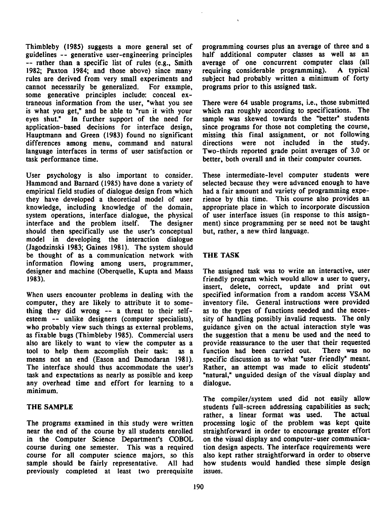guidelines -- generative user-engineering principles half additional computer classes as well as an<br>-- rather than a specific list of rules (e.g., Smith average of one concurrent computer class (all -- rather than a specific list of rules (e.g., Smith average of one concurrent computer class (all 1982; Paxton 1984; and those above) since many requiring considerable programming). A typical 1982; Paxton 1984; and those above) since many requiring considerable programming). <sup>A</sup> typical rules are derived from very small experiments and subject had probably written a minimum cannot necessarily be generalized. For example, programs prior to this assigned task. cannot necessarily be generalized. For example, some generative principles include: conceal extraneous information from the user, "what you see There were 64 usable programs, i.e., those submitted is what you get," and be able to "run it with your eyes shut." In further support of the need for sample was skewed towards the "better" students application-based decisions for interface design, since programs for those not completing the course, Hauptmann and Green (1983) found no significant missing this final assignment, or not following Hauptmann and Green (1983) found no significant differences among menu, command and natural directions were not included in the study. language interfaces in terms of user satisfaction or Two-thirds reported grade point averages of 3.0 or task performance time. better, both overall and in their computer courses.

User psychology is also important to consider. These intermediate-level computer students were Hammond and Barnard (1985) have done a variety of selected because they were advanced enough to have empirical field studies of dialogue design from which had a fair amount and variety of programming expe-<br>they have developed a theoretical model of user rience by this time. This course also provides an knowledge, including knowledge of the domain, appropriate place in which to incorporate discussion system operations, interface dialogue, the physical interface and the problem itself. The designer ment) since programming per se need not be taught should then specifically use the user's conceptual but, rather, <sup>a</sup> new third language. model in developing the interaction dialogue (Jagodzinski 1983; Gaines 1981). The system should be thought of as a communication network with THE TASK information flowing among users, programmer, designer and machine (Oberquelle, Kupta and Maass The assigned task was to write an interactive, user 1983). friendly program which would allow a user to query,

computer, they are likely to attribute it to something they did wrong -- a threat to their self- as to the types of functions needed and the neces-<br>esteem -- unlike designers (computer specialists), sity of handling possibly invalid requests. The only esteem -- unlike designers (computer specialists), sity of handling possibly invalid requests. The only who probably view such things as external problems, guidance given on the actual interaction style was as fixable bugs (Thimbleby 1985). Commercial users the suggestion that a menu be used and the need to also are likely to want to view the computer as a provide reassurance to the user that their requested also are likely to want to view the computer as a tool to help them accomplish their task: as a function had been carried out. There was no means not an end (Eason and Damodaran 1981). specific discussion as to what "user friendly" meant.<br>The interface should thus accommodate the user's Rather, an attempt was made to elicit students' The interface should thus accommodate the user's task and expectations as nearly as possible and keep "natural," unguided design of the visual display and any overhead time and effort for learning to <sup>a</sup> dialogue. minimum.

The programs examined in this study were written processing logic of the problem was kept quite near the end of the course by all students enrolled straightforward in order to encourage greater effort near the end of the course by all students enrolled in the Computer Science Department's COBOL on the visual display and computer-user communicacourse during one semester. This was a required tion design aspects. The interface requirements were course for all computer science majors, so this also kept rather straightforward in order to observe sample should be fairly representative. All had how students would handled these simple design previously completed at least two prerequisite issues.

Thimbleby (1985) suggests a more general set of programming courses plus an average of three and <sup>a</sup>

selected because they were advanced enough to have rience by this time. This course also provides an

insert, delete, correct, update and print out When users encounter problems in dealing with the specified information from a random access VSAM computer, they are likely to attribute it to some- inventory file. General instructions were provided guidance given on the actual interaction style was the suggestion that a menu be used and the need to

The compiler/system used did not easily allow THE SAMPLE SAMPLE students full-screen addressing capabilities as such; rather, a linear format was used. The actual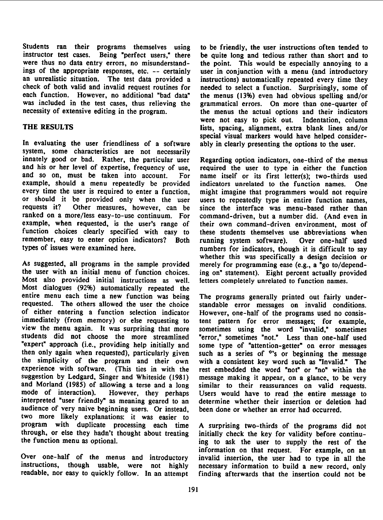Students ran their programs themselves using to be friendly, the user instructions often tended to instructor test cases. Being "perfect users," there be quite long and tedious rather than short and to were thus no data entry errors, no misunderstand- the point. This would be especially annoying to a ings of the appropriate responses, etc. -- certainly user in conjunction with a menu (and introductory an unrealistic situation. The test data provided a instructions) automatically repeated every time they check of both valid and invalid request routines for needed to select <sup>a</sup> function. Surprisingly, some of each function. However, no additional "bad data" the menus (13%) even had obvious spelling and/or was included in the test cases, thus relieving the grammatical errors. On more than one-quarter of necessity of extensive editing in the program.

In evaluating the user friendliness of a software ably in clearly presenting the options to the user. system, some characteristics are not necessarily innately good or bad. Rather, the particular user Regarding option indicators, one-third of the menus and his or her level of expertise, frequency of use, required the user to type in either the function and so on, must be taken into account. For name itself or its first letter(s); two-thirds used example, should a menu repeatedly be provided indicators unrelated to the function names. One every time the user is required to enter a function, might imagine that programmers would not require or should it be provided only when the user users to repeatedly type in entire function names, requests it? Other measures, however, can be since the interface was menu-based rather than requests it? Other measures, however, can be since the interface was menu-based rather than ranked on a more/less easy-to-use continuum. For command-driven, but a number did. (And even in example, when requested, is the user's range of their own command-driven environment, most of function choices clearly specified with easy to these students themselves use abbreviations when remember, easy to enter option indicators? Both running system software). Over one-half used<br>types of issues were examined here. The numbers for indicators, though it is difficult to say

As suggested, all programs in the sample provided merely for programming ease (e.g., a "go to/depend-<br>the user with an initial menu of function choices. ing on" statement). Eight percent actually provided Most also provided initial instructions as well. letters completely unrelated to function names. Most dialogues (92%) automatically repeated the entire menu each time <sup>a</sup> new function was being The programs generally printed out fairly underrequested. The others allowed the user the choice standable error messages on invalid conditions. of either entering a function selection indicator However, one-half of the programs used no consisimmediately (from memory) or else requesting to tent pattern for error messages; for example, view the menu again. It was surprising that more sometimes using the word "invalid," sometimes view the menu again. It was surprising that more sometimes using the word "invalid," sometimes students did not choose the more streamlined "error." sometimes "not." Less than one-half used "expert" approach (i.e., providing help initially and some type of "attention-getter" on error messages then only again when requested), particularly given such as a series of  $\circ$ 's or beginning the message the simplicity of the program and their own with a consistent key word such as "Invalid: The experience with software. (This ties in with the rest embedded the word "not" or "no" within the suggestion by Ledgard, Singer and Whiteside (1981) message making it appear, on a glance, to be very and Morland (1985) of allowing a terse and a long similar to their reassurances on valid requests. and Morland (1985) of allowing a terse and a long similar to their reassurances on valid requests.<br>mode of interaction). However, they perhaps Users would have to read the entire message to mode of interaction). However, they perhaps Users would have to read the entire message to interpreted "user friendly" as meaning geared to an determine whether their insertion or deletion had audience of very naive beginning users. Or instead, been done or whether an error had occurred. two more likely explanations: it was easier to program with duplicate processing each time A surprising two-thirds of the programs did not through, or else they hadn't thought about treating initially check the key for validity before continu-<br>the function menu as optional.<br>ing to ask the user to supply the rest of the

Over one-half of the menus and introductory invalid insertion, the user had to type in all the instructions, though usable, were not highly necessary information to build a new record, only instructions, though usable, were not highly necessary information to build a new record, only<br>readable, nor easy to quickly follow. In an attempt finding afterwards that the insertion could not be

instructions) automatically repeated every time they the menus the actual options and their indicators were not easy to pick out. Indentation, column THE RESULTS lists, spacing, alignment, extra blank lines and/or special visual markers would have helped consider-

> command-driven, but a number did. (And even in numbers for indicators, though it is difficult to say whether this was specifically a design decision or ing on" statement). Eight percent actually provided

> "error," sometimes "not." Less than one-half used such as a series of  $\dot{\cdot}$ 's or beginning the message determine whether their insertion or deletion had

> ing to ask the user to supply the rest of the information on that request. For example, on an finding afterwards that the insertion could not be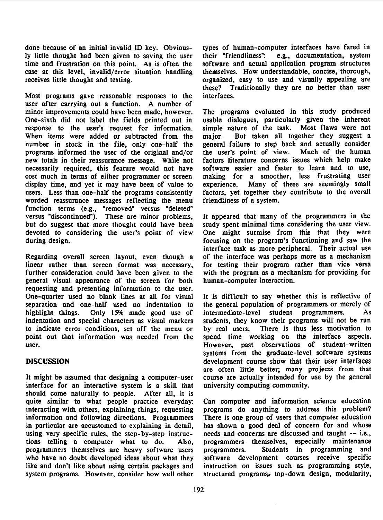done because of an initial invalid ID key. Obvious-<br>ly little thought had been given to saving the user their "friendliness": e.g., documentation, system ly little thought had been given to saving the user their "friendliness": time and frustration on this point. As is often the software and actual application program structures case at this level, invalid/error situation handling themselves. How understandable, concise, thorough, receives little thought and testing. The subsequence organized, easy to use and visually appealing are

Most programs gave reasonable responses to the interfaces. user after carrying out <sup>a</sup> function. A number of minor improvements could have been made, however. The programs evaluated in this study produced<br>One-sixth did not label the fields printed out in usable dialogues, particularly given the inherent One-sixth did not label the fields printed out in response to the user's request for information. simple nature of the task. Most flaws were not When items were added or subtracted from the major. But taken all together they suggest a number in stock in the file, only one-half the general failure to step back and actually consider programs informed the user of the original and/or the user's point of view. new totals in their reassurance message. While not factors literature concerns issues which help make necessarily required, this feature would not have software easier and faster to learn and to use, cost much in terms of either programmer or screen making for a smoother, less frustrating user cost much in terms of either programmer or screen making for a smoother, less frustrating user display time, and yet it may have been of value to experience. Many of these are seemingly small display time, and yet it may have been of value to experience. Many of these are seemingly small users. Less than one-half the programs consistently factors, yet together they contribute to the overall users. Less than one-half the programs consistently worded reassurance messages reflecting the menu friendliness of <sup>a</sup> system. function terms (e.g., "removed" versus "deleted" versus "discontinued"). These are minor problems, It appeared that many of the programmers in the but do suggest that more thought could have been study spent minimal time considering the user view. devoted to considering the user's point of view One might surmise from this that they were during design. **focusing** on the program's functioning and saw the

Regarding overall screen layout, even though <sup>a</sup> of the interface was perhaps more as <sup>a</sup> mechanism linear rather than screen format was necessary, for testing their program rather than vice versa further consideration could have been given to the with the program as a mechanism for providing for general visual appearance of the screen for both human-computer interaction. general visual appearance of the screen for both requesting and presenting information to the user. One-quarter used no blank lines at all for visual It is difficult to say whether this is reflective of separation and one-half used no indentation to the general population of programmers or merely of highlight things. Only 15% made good use of intermediate-level student programmers. As indentation and special characters as visual markers students, they know their programs will not be run indentation and special characters as visual markers students, they know their programs will not be run<br>to indicate error conditions, set off the menu or by real users. There is thus less motivation to to indicate error conditions, set off the menu or by real users. point out that information was needed from the spend time working on the interface aspects. user. However, past observations of student-written

It might be assumed that designing <sup>a</sup> computer-user course are actually intended for use by the general interface for an interactive system is <sup>a</sup> skill that university computing community. should come naturally to people. After all, it is quite similar to what people practice everyday: Can computer and information science education interacting with others, explaining things, requesting programs do anything to address this problem? information and following directions. Programmers There is one group of users that computer education in particular are accustomed to explaining in detail, has shown <sup>a</sup> good deal of concern for and whose using very specific rules, the step-by-step instruc-<br>tions telling a computer what to do. Also, programmers themselves, especially maintenance programmers themselves are heavy software users programmers. Students in programming and who have no doubt developed ideas about what they software development courses receive specific like and don't like about using certain packages and instruction on issues such as programming style, system programs. However, consider how well other structured programs, top-down design, modularity,

these? Traditionally they are no better than user

general failure to step back and actually consider<br>the user's point of view. Much of the human

interface task as more peripheral. Their actual use

systems from the graduate-level software systems DISCUSSION development course show that their user interfaces are often little better; many projects from that

Also, programmers themselves, especially maintenance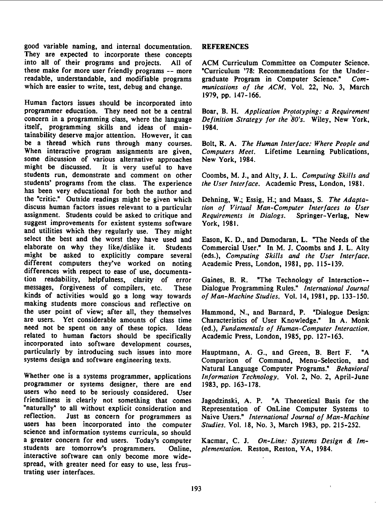good variable naming, and internal documentation. REFERENCES They are expected to incorporate these concepts into all of their programs and projects. All of ACM Curriculum Committee on Computer Science. these make for more user friendly programs -- more "Curriculum '78: Recommendations for the Underreadable, understandable, and modifiable programs graduate Program in Computer Science." Com-<br>which are easier to write, test, debug and change. munications of the ACM, Vol. 22, No. 3, March

Human factors issues should be incorporated into programmer education. They need not be a central Boar, B. H. Application Prototyping: a Requirement concern in a programming class, where the language Definition Strategy for the 80's. Wiley, New York, itself, programming skills and ideas of main- 1984. tainability deserve major attention. However, it can be a thread which runs through many courses. Bolt, R. A. The Human Interface: Where People and When interactive program assignments are given, Computers Meet. Lifetime Learning Publications, some discussion of various alternative approaches New York, 1984. some discussion of various alternative approaches might be discussed. It is very useful to have It is very useful to have students run, demonstrate and comment on other Coombs, M. J., and Alty, J. L. Computing Skills and students' programs from the class. The experience the User Interface. Academic Press, London, 1981. has been very educational for both the author and the "critic." Outside readings might be given which Dehning, W.; Essig, H.; and Maass, S. The Adapta-<br>discuss human factors issues relevant to a particular *tion of Virtual Man-Computer Interfaces to User* assignment. Students could be asked to critique and Requirements in Dialogs. Springer-Verlag, New suggest improvements for existent systems software York, 1981. and utilities which they regularly use. They might select the best and the worst they have used and Eason, K. D., and Damodaran, L. "The Needs of the elaborate on why they like/dislike it. Students Commercial User." In M. J. Coombs and J. L. Alty might be asked to explicitly compare several (eds.), Computing Skills and the User Interface, different computers they've worked on noting Academic Press, London, 1981, pp. 115-139. differences with respect to ease of use, documentation readability, helpfulness, clarity of error Gaines, B. R. "The Technology of Interaction--<br>messages, forgiveness of compilers, etc. These Dialogue Programming Rules." International Journal kinds of activities would go a long way towards of Man-Machine Studies, Vol. 14, 1981, pp. 133-150. making students more conscious and reflective on the user point of view; after all. they themselves Hammond, N., and Barnard, P. "Dialogue Design: are users. Yet considerable amounts of class time Characteristics of User Knowledge." In A. Monk need not be spent on any of these topics. Ideas (ed.), Fundamentals of Human-Computer Interaction. related to human factors should be specifically Academic Press, London, 1985, pp. 127-163. incorporated into software development courses, particularly by introducing such issues into more Hauptmann, A. G., and Green, B. Bert F. "A systems design and software engineering texts. Comparison of Command, Menu-Selection, and

Whether one is a systems programmer, applications *Information Technology*, Vol. 2, No. 2, April-June programmer or systems designer, there are end 1983, pp. 163-178. users who need to be seriously considered. User friendliness is clearly not something that comes Jagodzinski, A. P. "A Theoretical Basis for the "naturally" to all without explicit consideration and Representation of OnLine Computer Systems to reflection. Just as concern for programmers as Naive Users." International Journal of Man-Machine users has been incorporated into the computer Studies, Vol. 18, No. 3, March 1983, pp. 215-252. science and information systems curricula. so should a greater concern for end users. Today's computer Kacmar, C. J. On-Line: Systems Design & Imstudents are tomorrow's programmers. Online, plementation. Reston, Reston, VA, 1984. interactive software can only become more widespread, with greater need for easy to use, less frustrating user interfaces.

munications of the ACM, Vol. 22, No. 3, March 1979, pp. 147-166.

tion of Virtual Man-Computer Interfaces to User

Students Commercial User." In M. J. Coombs and J. L. Alty

These Dialogue Programming Rules." International Journal

Ideas (ed.), Fundamentals of Human-Computer Interaction,

Comparison of Command, Menu-Selection, and Natural Language Computer Programs." Behavioral